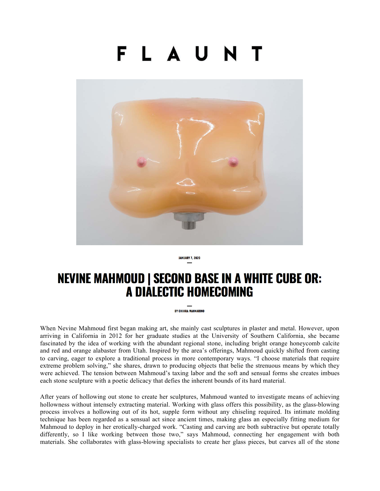## FLAUN



**JANUARY 7, 2020** 

## **NEVINE MAHMOUD | SECOND BASE IN A WHITE CUBE OR:** A DIALECTIC HOMECOMING

**BY CHIARA MANNARINO** 

When Nevine Mahmoud first began making art, she mainly cast sculptures in plaster and metal. However, upon arriving in California in 2012 for her graduate studies at the University of Southern California, she became fascinated by the idea of working with the abundant regional stone, including bright orange honeycomb calcite and red and orange alabaster from Utah. Inspired by the area's offerings, Mahmoud quickly shifted from casting to carving, eager to explore a traditional process in more contemporary ways. "I choose materials that require extreme problem solving," she shares, drawn to producing objects that belie the strenuous means by which they were achieved. The tension between Mahmoud's taxing labor and the soft and sensual forms she creates imbues each stone sculpture with a poetic delicacy that defies the inherent bounds of its hard material.

After years of hollowing out stone to create her sculptures, Mahmoud wanted to investigate means of achieving hollowness without intensely extracting material. Working with glass offers this possibility, as the glass-blowing process involves a hollowing out of its hot, supple form without any chiseling required. Its intimate molding technique has been regarded as a sensual act since ancient times, making glass an especially fitting medium for Mahmoud to deploy in her erotically-charged work. "Casting and carving are both subtractive but operate totally differently, so I like working between those two," says Mahmoud, connecting her engagement with both materials. She collaborates with glass-blowing specialists to create her glass pieces, but carves all of the stone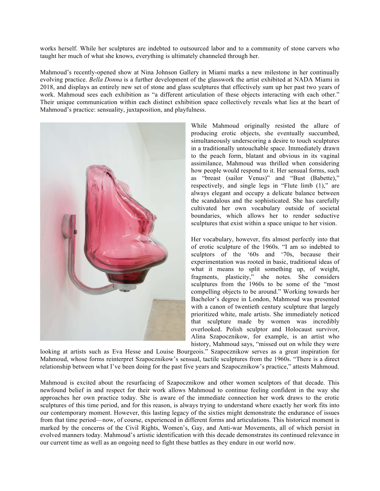works herself. While her sculptures are indebted to outsourced labor and to a community of stone carvers who taught her much of what she knows, everything is ultimately channeled through her.

Mahmoud's recently-opened show at Nina Johnson Gallery in Miami marks a new milestone in her continually evolving practice. *Bella Donna* is a further development of the glasswork the artist exhibited at NADA Miami in 2018, and displays an entirely new set of stone and glass sculptures that effectively sum up her past two years of work. Mahmoud sees each exhibition as "a different articulation of these objects interacting with each other." Their unique communication within each distinct exhibition space collectively reveals what lies at the heart of Mahmoud's practice: sensuality, juxtaposition, and playfulness.



While Mahmoud originally resisted the allure of producing erotic objects, she eventually succumbed, simultaneously underscoring a desire to touch sculptures in a traditionally untouchable space. Immediately drawn to the peach form, blatant and obvious in its vaginal assimilance, Mahmoud was thrilled when considering how people would respond to it. Her sensual forms, such as "breast (sailor Venus)" and "Bust (Babette)," respectively, and single legs in "Flute limb (1)," are always elegant and occupy a delicate balance between the scandalous and the sophisticated. She has carefully cultivated her own vocabulary outside of societal boundaries, which allows her to render seductive sculptures that exist within a space unique to her vision.

Her vocabulary, however, fits almost perfectly into that of erotic sculpture of the 1960s. "I am so indebted to sculptors of the '60s and '70s, because their experimentation was rooted in basic, traditional ideas of what it means to split something up, of weight, fragments, plasticity," she notes. She considers sculptures from the 1960s to be some of the "most compelling objects to be around." Working towards her Bachelor's degree in London, Mahmoud was presented with a canon of twentieth century sculpture that largely prioritized white, male artists. She immediately noticed that sculpture made by women was incredibly overlooked. Polish sculptor and Holocaust survivor, Alina Szapocznikow, for example, is an artist who history, Mahmoud says, "missed out on while they were

looking at artists such as Eva Hesse and Louise Bourgeois." Szapocznikow serves as a great inspiration for Mahmoud, whose forms reinterpret Szapocznikow's sensual, tactile sculptures from the 1960s. "There is a direct relationship between what I've been doing for the past five years and Szapocznikow's practice," attests Mahmoud.

Mahmoud is excited about the resurfacing of Szapocznikow and other women sculptors of that decade. This newfound belief in and respect for their work allows Mahmoud to continue feeling confident in the way she approaches her own practice today. She is aware of the immediate connection her work draws to the erotic sculptures of this time period, and for this reason, is always trying to understand where exactly her work fits into our contemporary moment. However, this lasting legacy of the sixties might demonstrate the endurance of issues from that time period—now, of course, experienced in different forms and articulations. This historical moment is marked by the concerns of the Civil Rights, Women's, Gay, and Anti-war Movements, all of which persist in evolved manners today. Mahmoud's artistic identification with this decade demonstrates its continued relevance in our current time as well as an ongoing need to fight these battles as they endure in our world now.